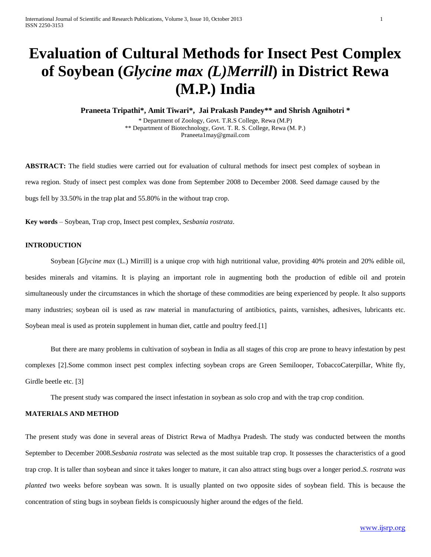# **Evaluation of Cultural Methods for Insect Pest Complex of Soybean (***Glycine max (L)Merrill***) in District Rewa (M.P.) India**

**Praneeta Tripathi\*, Amit Tiwari\*, Jai Prakash Pandey\*\* and Shrish Agnihotri \***

\* Department of Zoology, Govt. T.R.S College, Rewa (M.P) \*\* Department of Biotechnology, Govt. T. R. S. College, Rewa (M. P.) Praneeta1may@gmail.com

**ABSTRACT:** The field studies were carried out for evaluation of cultural methods for insect pest complex of soybean in rewa region. Study of insect pest complex was done from September 2008 to December 2008. Seed damage caused by the bugs fell by 33.50% in the trap plat and 55.80% in the without trap crop.

**Key words** – Soybean, Trap crop, Insect pest complex, *Sesbania rostrata*.

### **INTRODUCTION**

Soybean [*Glycine max* (L.) Mirrill] is a unique crop with high nutritional value, providing 40% protein and 20% edible oil, besides minerals and vitamins. It is playing an important role in augmenting both the production of edible oil and protein simultaneously under the circumstances in which the shortage of these commodities are being experienced by people. It also supports many industries; soybean oil is used as raw material in manufacturing of antibiotics, paints, varnishes, adhesives, lubricants etc. Soybean meal is used as protein supplement in human diet, cattle and poultry feed.[1]

But there are many problems in cultivation of soybean in India as all stages of this crop are prone to heavy infestation by pest complexes [2].Some common insect pest complex infecting soybean crops are Green Semilooper, TobaccoCaterpillar, White fly, Girdle beetle etc. [3]

The present study was compared the insect infestation in soybean as solo crop and with the trap crop condition.

### **MATERIALS AND METHOD**

The present study was done in several areas of District Rewa of Madhya Pradesh. The study was conducted between the months September to December 2008.*Sesbania rostrata* was selected as the most suitable trap crop. It possesses the characteristics of a good trap crop. It is taller than soybean and since it takes longer to mature, it can also attract sting bugs over a longer period.*S. rostrata was planted* two weeks before soybean was sown. It is usually planted on two opposite sides of soybean field. This is because the concentration of sting bugs in soybean fields is conspicuously higher around the edges of the field.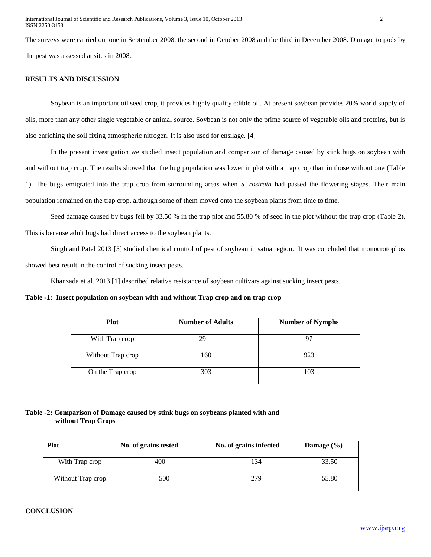The surveys were carried out one in September 2008, the second in October 2008 and the third in December 2008. Damage to pods by the pest was assessed at sites in 2008.

# **RESULTS AND DISCUSSION**

Soybean is an important oil seed crop, it provides highly quality edible oil. At present soybean provides 20% world supply of oils, more than any other single vegetable or animal source. Soybean is not only the prime source of vegetable oils and proteins, but is also enriching the soil fixing atmospheric nitrogen. It is also used for ensilage. [4]

In the present investigation we studied insect population and comparison of damage caused by stink bugs on soybean with and without trap crop. The results showed that the bug population was lower in plot with a trap crop than in those without one (Table 1). The bugs emigrated into the trap crop from surrounding areas when *S. rostrata* had passed the flowering stages. Their main population remained on the trap crop, although some of them moved onto the soybean plants from time to time.

Seed damage caused by bugs fell by 33.50 % in the trap plot and 55.80 % of seed in the plot without the trap crop (Table 2). This is because adult bugs had direct access to the soybean plants.

Singh and Patel 2013 [5] studied chemical control of pest of soybean in satna region. It was concluded that monocrotophos showed best result in the control of sucking insect pests.

Khanzada et al. 2013 [1] described relative resistance of soybean cultivars against sucking insect pests.

# **Table -1: Insect population on soybean with and without Trap crop and on trap crop**

| <b>Plot</b>       | <b>Number of Adults</b> | <b>Number of Nymphs</b> |
|-------------------|-------------------------|-------------------------|
| With Trap crop    | 29                      |                         |
| Without Trap crop | 160                     | 923                     |
| On the Trap crop  | 303                     | 103                     |

# **Table -2: Comparison of Damage caused by stink bugs on soybeans planted with and without Trap Crops**

| <b>Plot</b>       | No. of grains tested | No. of grains infected | Damage $(\% )$ |
|-------------------|----------------------|------------------------|----------------|
|                   |                      |                        |                |
| With Trap crop    | 400                  | 134                    | 33.50          |
| Without Trap crop | 500                  | 279                    | 55.80          |